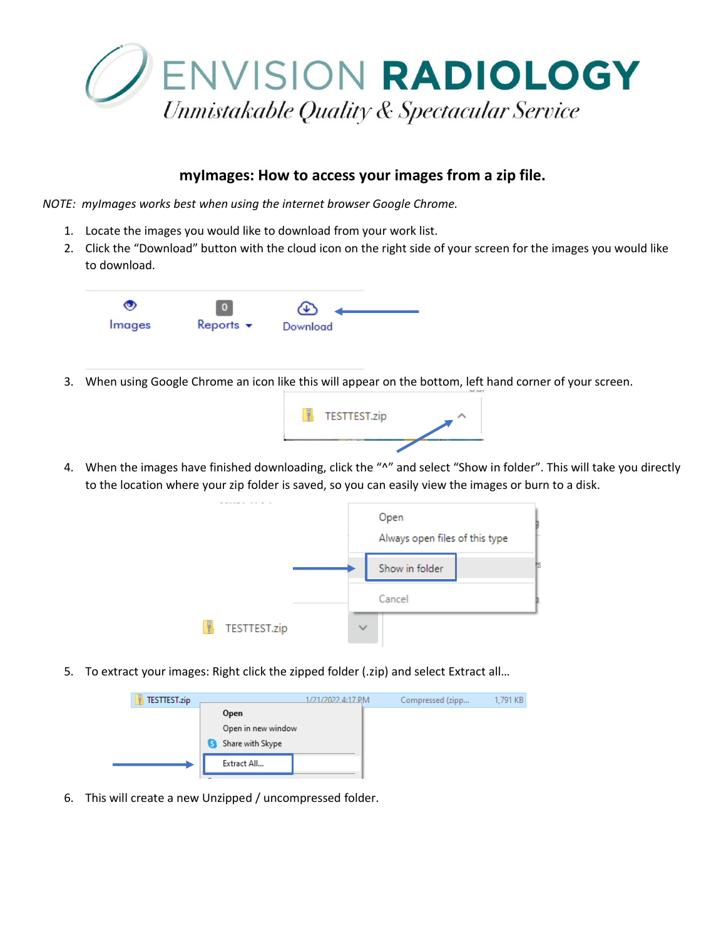

## **myImages: How to access your images from a zip file.**

*NOTE: myImages works best when using the internet browser Google Chrome.* 

- 1. Locate the images you would like to download from your work list.
- 2. Click the "Download" button with the cloud icon on the right side of your screen for the images you would like to download.



3. When using Google Chrome an icon like this will appear on the bottom, left hand corner of your screen.



4. When the images have finished downloading, click the "^" and select "Show in folder". This will take you directly to the location where your zip folder is saved, so you can easily view the images or burn to a disk.



5. To extract your images: Right click the zipped folder (.zip) and select Extract all...



6. This will create a new Unzipped / uncompressed folder.